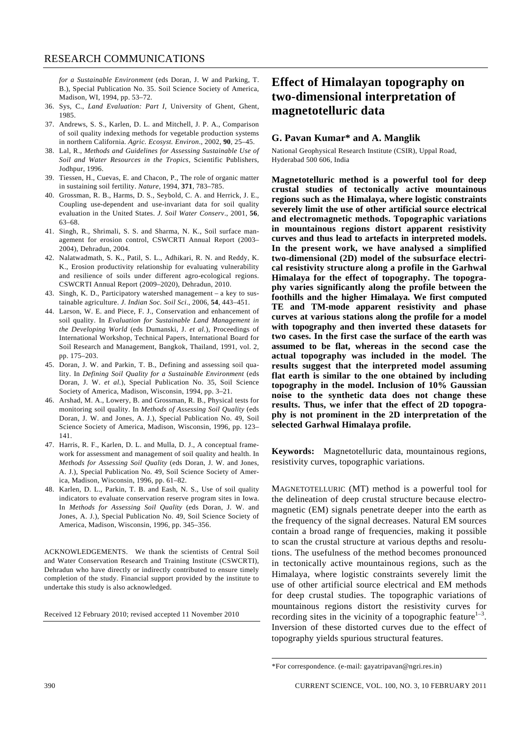*for a Sustainable Environment* (eds Doran, J. W and Parking, T. B.), Special Publication No. 35. Soil Science Society of America, Madison, WI, 1994, pp. 53–72.

- 36. Sys, C., *Land Evaluation: Part I*, University of Ghent, Ghent, 1985.
- 37. Andrews, S. S., Karlen, D. L. and Mitchell, J. P. A., Comparison of soil quality indexing methods for vegetable production systems in northern California. *Agric. Ecosyst. Environ*., 2002, **90**, 25–45.
- 38. Lal, R., *Methods and Guidelines for Assessing Sustainable Use of Soil and Water Resources in the Tropics*, Scientific Publishers, Jodhpur, 1996.
- 39. Tiessen, H., Cuevas, E. and Chacon, P., The role of organic matter in sustaining soil fertility. *Nature*, 1994, **371**, 783–785.
- 40. Grossman, R. B., Harms, D. S., Seybold, C. A. and Herrick, J. E., Coupling use-dependent and use-invariant data for soil quality evaluation in the United States. *J. Soil Water Conserv*., 2001, **56**, 63–68.
- 41. Singh, R., Shrimali, S. S. and Sharma, N. K., Soil surface management for erosion control, CSWCRTI Annual Report (2003– 2004), Dehradun, 2004.
- 42. Nalatwadmath, S. K., Patil, S. L., Adhikari, R. N. and Reddy, K. K., Erosion productivity relationship for evaluating vulnerability and resilience of soils under different agro-ecological regions. CSWCRTI Annual Report (2009–2020), Dehradun, 2010.
- 43. Singh, K. D., Participatory watershed management a key to sustainable agriculture. *J. Indian Soc. Soil Sci*., 2006, **54**, 443–451.
- 44. Larson, W. E. and Piece, F. J., Conservation and enhancement of soil quality. In *Evaluation for Sustainable Land Management in the Developing World* (eds Dumanski, J. *et al.*), Proceedings of International Workshop, Technical Papers, International Board for Soil Research and Management, Bangkok, Thailand, 1991, vol. 2, pp. 175–203.
- 45. Doran, J. W. and Parkin, T. B., Defining and assessing soil quality. In *Defining Soil Quality for a Sustainable Environment* (eds Doran, J. W. *et al.*), Special Publication No. 35, Soil Science Society of America, Madison, Wisconsin, 1994, pp. 3–21.
- 46. Arshad, M. A., Lowery, B. and Grossman, R. B., Physical tests for monitoring soil quality. In *Methods of Assessing Soil Quality* (eds Doran, J. W. and Jones, A. J.), Special Publication No. 49, Soil Science Society of America, Madison, Wisconsin, 1996, pp. 123– 141.
- 47. Harris, R. F., Karlen, D. L. and Mulla, D. J., A conceptual framework for assessment and management of soil quality and health. In *Methods for Assessing Soil Quality* (eds Doran, J. W. and Jones, A. J.), Special Publication No. 49, Soil Science Society of America, Madison, Wisconsin, 1996, pp. 61–82.
- 48. Karlen, D. L., Parkin, T. B. and Eash, N. S., Use of soil quality indicators to evaluate conservation reserve program sites in Iowa. In *Methods for Assessing Soil Quality* (eds Doran, J. W. and Jones, A. J.), Special Publication No. 49, Soil Science Society of America, Madison, Wisconsin, 1996, pp. 345–356.

ACKNOWLEDGEMENTS. We thank the scientists of Central Soil and Water Conservation Research and Training Institute (CSWCRTI), Dehradun who have directly or indirectly contributed to ensure timely completion of the study. Financial support provided by the institute to undertake this study is also acknowledged.

Received 12 February 2010; revised accepted 11 November 2010

## **Effect of Himalayan topography on two-dimensional interpretation of magnetotelluric data**

## **G. Pavan Kumar\* and A. Manglik**

National Geophysical Research Institute (CSIR), Uppal Road, Hyderabad 500 606, India

**Magnetotelluric method is a powerful tool for deep crustal studies of tectonically active mountainous regions such as the Himalaya, where logistic constraints severely limit the use of other artificial source electrical and electromagnetic methods. Topographic variations in mountainous regions distort apparent resistivity curves and thus lead to artefacts in interpreted models. In the present work, we have analysed a simplified two-dimensional (2D) model of the subsurface electrical resistivity structure along a profile in the Garhwal Himalaya for the effect of topography. The topography varies significantly along the profile between the foothills and the higher Himalaya. We first computed TE and TM-mode apparent resistivity and phase curves at various stations along the profile for a model with topography and then inverted these datasets for two cases. In the first case the surface of the earth was assumed to be flat, whereas in the second case the actual topography was included in the model. The results suggest that the interpreted model assuming flat earth is similar to the one obtained by including topography in the model. Inclusion of 10% Gaussian noise to the synthetic data does not change these results. Thus, we infer that the effect of 2D topography is not prominent in the 2D interpretation of the selected Garhwal Himalaya profile.** 

**Keywords:** Magnetotelluric data, mountainous regions, resistivity curves, topographic variations.

MAGNETOTELLURIC (MT) method is a powerful tool for the delineation of deep crustal structure because electromagnetic (EM) signals penetrate deeper into the earth as the frequency of the signal decreases. Natural EM sources contain a broad range of frequencies, making it possible to scan the crustal structure at various depths and resolutions. The usefulness of the method becomes pronounced in tectonically active mountainous regions, such as the Himalaya, where logistic constraints severely limit the use of other artificial source electrical and EM methods for deep crustal studies. The topographic variations of mountainous regions distort the resistivity curves for recording sites in the vicinity of a topographic feature $1-3$ . Inversion of these distorted curves due to the effect of topography yields spurious structural features.

<sup>\*</sup>For correspondence. (e-mail: gayatripavan@ngri.res.in)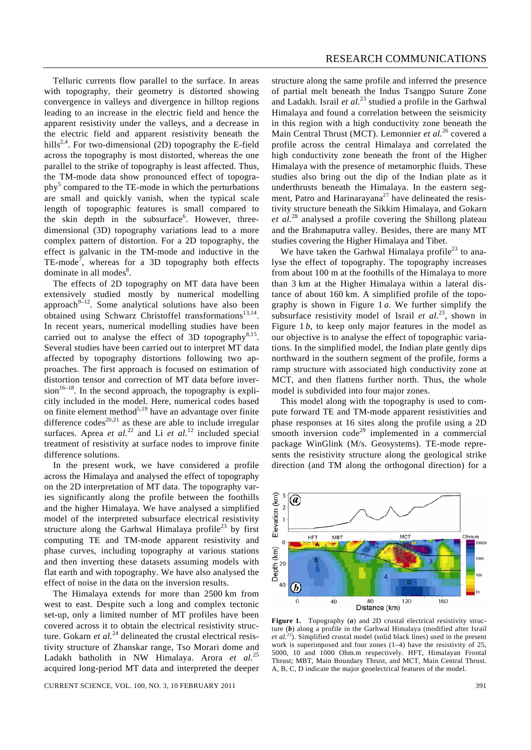Telluric currents flow parallel to the surface. In areas with topography, their geometry is distorted showing convergence in valleys and divergence in hilltop regions leading to an increase in the electric field and hence the apparent resistivity under the valleys, and a decrease in the electric field and apparent resistivity beneath the hills<sup>2,4</sup>. For two-dimensional (2D) topography the E-field across the topography is most distorted, whereas the one parallel to the strike of topography is least affected. Thus, the TM-mode data show pronounced effect of topography<sup>5</sup> compared to the TE-mode in which the perturbations are small and quickly vanish, when the typical scale

length of topographic features is small compared to the skin depth in the subsurface<sup>6</sup>. However, threedimensional (3D) topography variations lead to a more complex pattern of distortion. For a 2D topography, the effect is galvanic in the TM-mode and inductive in the TE-mode<sup>7</sup>, whereas for a 3D topography both effects dominate in all modes<sup>8</sup>.

 The effects of 2D topography on MT data have been extensively studied mostly by numerical modelling approach $9-12$ . Some analytical solutions have also been obtained using Schwarz Christoffel transformations<sup>13,14</sup>. In recent years, numerical modelling studies have been carried out to analyse the effect of 3D topography<sup>8,15</sup>. Several studies have been carried out to interpret MT data affected by topography distortions following two approaches. The first approach is focused on estimation of distortion tensor and correction of MT data before inver $sion^{16-18}$ . In the second approach, the topography is explicitly included in the model. Here, numerical codes based on finite element method $5,19$  have an advantage over finite difference  $\csc^{20,21}$  as these are able to include irregular surfaces. Aprea *et al.*<sup>22</sup> and Li *et al.*<sup>12</sup> included special treatment of resistivity at surface nodes to improve finite difference solutions.

 In the present work, we have considered a profile across the Himalaya and analysed the effect of topography on the 2D interpretation of MT data. The topography varies significantly along the profile between the foothills and the higher Himalaya. We have analysed a simplified model of the interpreted subsurface electrical resistivity structure along the Garhwal Himalaya profile<sup>23</sup> by first computing TE and TM-mode apparent resistivity and phase curves, including topography at various stations and then inverting these datasets assuming models with flat earth and with topography. We have also analysed the effect of noise in the data on the inversion results.

 The Himalaya extends for more than 2500 km from west to east. Despite such a long and complex tectonic set-up, only a limited number of MT profiles have been covered across it to obtain the electrical resistivity structure. Gokarn *et al.*<sup>24</sup> delineated the crustal electrical resistivity structure of Zhanskar range, Tso Morari dome and Ladakh batholith in NW Himalaya. Arora *et al.*25 acquired long-period MT data and interpreted the deeper

CURRENT SCIENCE, VOL. 100, NO. 3, 10 FEBRUARY 2011 391

structure along the same profile and inferred the presence of partial melt beneath the Indus Tsangpo Suture Zone and Ladakh. Israil *et al.*23 studied a profile in the Garhwal Himalaya and found a correlation between the seismicity in this region with a high conductivity zone beneath the Main Central Thrust (MCT). Lemonnier *et al.*26 covered a profile across the central Himalaya and correlated the high conductivity zone beneath the front of the Higher Himalaya with the presence of metamorphic fluids. These studies also bring out the dip of the Indian plate as it underthrusts beneath the Himalaya. In the eastern segment, Patro and Harinarayana<sup>27</sup> have delineated the resistivity structure beneath the Sikkim Himalaya, and Gokarn *et al.*28 analysed a profile covering the Shillong plateau and the Brahmaputra valley. Besides, there are many MT studies covering the Higher Himalaya and Tibet.

We have taken the Garhwal Himalaya profile<sup>23</sup> to analyse the effect of topography. The topography increases from about 100 m at the foothills of the Himalaya to more than 3 km at the Higher Himalaya within a lateral distance of about 160 km. A simplified profile of the topography is shown in Figure 1 *a*. We further simplify the subsurface resistivity model of Israil *et al.*<sup>23</sup>, shown in Figure 1*b*, to keep only major features in the model as our objective is to analyse the effect of topographic variations. In the simplified model, the Indian plate gently dips northward in the southern segment of the profile, forms a ramp structure with associated high conductivity zone at MCT, and then flattens further north. Thus, the whole model is subdivided into four major zones.

 This model along with the topography is used to compute forward TE and TM-mode apparent resistivities and phase responses at 16 sites along the profile using a 2D smooth inversion  $\text{code}^{29}$  implemented in a commercial package WinGlink (M/s. Geosystems). TE-mode represents the resistivity structure along the geological strike direction (and TM along the orthogonal direction) for a



**Figure 1.** Topography (*a*) and 2D crustal electrical resistivity structure (*b*) along a profile in the Garhwal Himalaya (modified after Israil *et al.*23). Simplified crustal model (solid black lines) used in the present work is superimposed and four zones  $(1-4)$  have the resistivity of 25, 5000, 10 and 1000 Ohm.m respectively. HFT, Himalayan Frontal Thrust; MBT, Main Boundary Thrust, and MCT, Main Central Thrust. A, B, C, D indicate the major geoelectrical features of the model.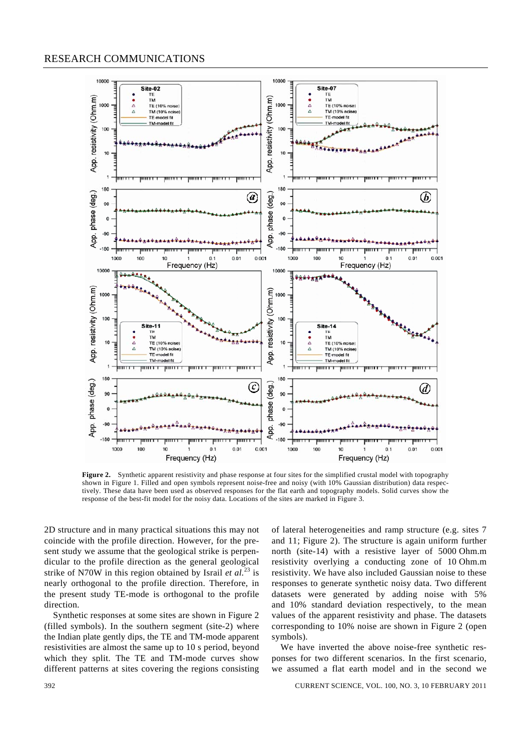## RESEARCH COMMUNICATIONS



**Figure 2.** Synthetic apparent resistivity and phase response at four sites for the simplified crustal model with topography shown in Figure 1. Filled and open symbols represent noise-free and noisy (with 10% Gaussian distribution) data respectively. These data have been used as observed responses for the flat earth and topography models. Solid curves show the response of the best-fit model for the noisy data. Locations of the sites are marked in Figure 3.

2D structure and in many practical situations this may not coincide with the profile direction. However, for the present study we assume that the geological strike is perpendicular to the profile direction as the general geological strike of N70W in this region obtained by Israil *et al.*<sup>23</sup> is nearly orthogonal to the profile direction. Therefore, in the present study TE-mode is orthogonal to the profile direction.

 Synthetic responses at some sites are shown in Figure 2 (filled symbols). In the southern segment (site-2) where the Indian plate gently dips, the TE and TM-mode apparent resistivities are almost the same up to 10 s period, beyond which they split. The TE and TM-mode curves show different patterns at sites covering the regions consisting of lateral heterogeneities and ramp structure (e.g. sites 7 and 11; Figure 2). The structure is again uniform further north (site-14) with a resistive layer of 5000 Ohm.m resistivity overlying a conducting zone of 10 Ohm.m resistivity. We have also included Gaussian noise to these responses to generate synthetic noisy data. Two different datasets were generated by adding noise with 5% and 10% standard deviation respectively, to the mean values of the apparent resistivity and phase. The datasets corresponding to 10% noise are shown in Figure 2 (open symbols).

 We have inverted the above noise-free synthetic responses for two different scenarios. In the first scenario, we assumed a flat earth model and in the second we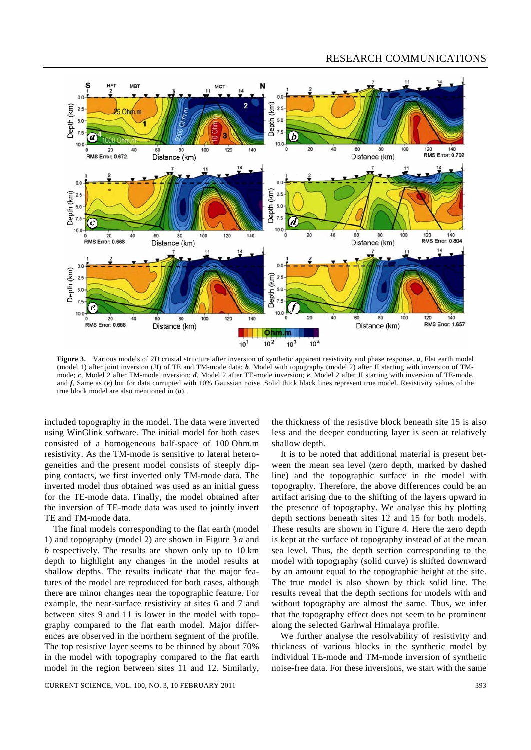## RESEARCH COMMUNICATIONS



**Figure 3.** Various models of 2D crustal structure after inversion of synthetic apparent resistivity and phase response. *a*, Flat earth model (model 1) after joint inversion (JI) of TE and TM-mode data; *b*, Model with topography (model 2) after JI starting with inversion of TMmode; *c*, Model 2 after TM-mode inversion; *d*, Model 2 after TE-mode inversion; *e*, Model 2 after JI starting with inversion of TE-mode, and *f*, Same as (*e*) but for data corrupted with 10% Gaussian noise. Solid thick black lines represent true model. Resistivity values of the true block model are also mentioned in (*a*).

included topography in the model. The data were inverted using WinGlink software. The initial model for both cases consisted of a homogeneous half-space of 100 Ohm.m resistivity. As the TM-mode is sensitive to lateral heterogeneities and the present model consists of steeply dipping contacts, we first inverted only TM-mode data. The inverted model thus obtained was used as an initial guess for the TE-mode data. Finally, the model obtained after the inversion of TE-mode data was used to jointly invert TE and TM-mode data.

 The final models corresponding to the flat earth (model 1) and topography (model 2) are shown in Figure 3 *a* and *b* respectively. The results are shown only up to 10 km depth to highlight any changes in the model results at shallow depths. The results indicate that the major features of the model are reproduced for both cases, although there are minor changes near the topographic feature. For example, the near-surface resistivity at sites 6 and 7 and between sites 9 and 11 is lower in the model with topography compared to the flat earth model. Major differences are observed in the northern segment of the profile. The top resistive layer seems to be thinned by about 70% in the model with topography compared to the flat earth model in the region between sites 11 and 12. Similarly,

CURRENT SCIENCE, VOL. 100, NO. 3, 10 FEBRUARY 2011 393

the thickness of the resistive block beneath site 15 is also less and the deeper conducting layer is seen at relatively shallow depth.

 It is to be noted that additional material is present between the mean sea level (zero depth, marked by dashed line) and the topographic surface in the model with topography. Therefore, the above differences could be an artifact arising due to the shifting of the layers upward in the presence of topography. We analyse this by plotting depth sections beneath sites 12 and 15 for both models. These results are shown in Figure 4. Here the zero depth is kept at the surface of topography instead of at the mean sea level. Thus, the depth section corresponding to the model with topography (solid curve) is shifted downward by an amount equal to the topographic height at the site. The true model is also shown by thick solid line. The results reveal that the depth sections for models with and without topography are almost the same. Thus, we infer that the topography effect does not seem to be prominent along the selected Garhwal Himalaya profile.

 We further analyse the resolvability of resistivity and thickness of various blocks in the synthetic model by individual TE-mode and TM-mode inversion of synthetic noise-free data. For these inversions, we start with the same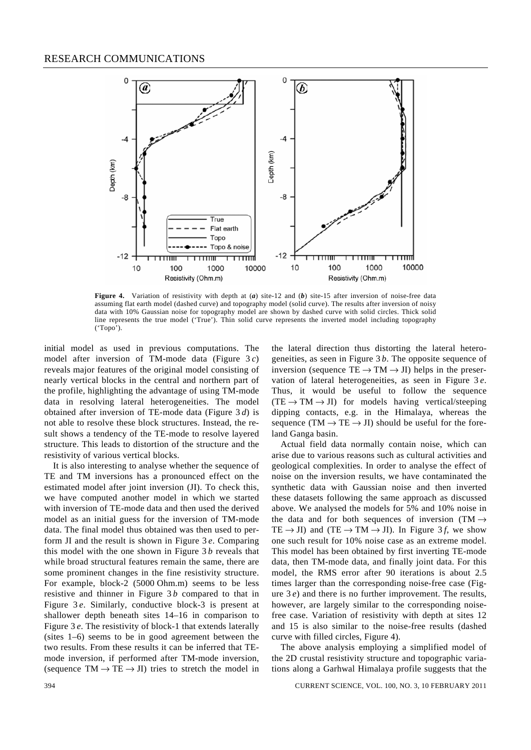

**Figure 4.** Variation of resistivity with depth at (*a*) site-12 and (*b*) site-15 after inversion of noise-free data assuming flat earth model (dashed curve) and topography model (solid curve). The results after inversion of noisy data with 10% Gaussian noise for topography model are shown by dashed curve with solid circles. Thick solid line represents the true model ('True'). Thin solid curve represents the inverted model including topography ('Topo').

initial model as used in previous computations. The model after inversion of TM-mode data (Figure 3 *c*) reveals major features of the original model consisting of nearly vertical blocks in the central and northern part of the profile, highlighting the advantage of using TM-mode data in resolving lateral heterogeneities. The model obtained after inversion of TE-mode data (Figure 3 *d*) is not able to resolve these block structures. Instead, the result shows a tendency of the TE-mode to resolve layered structure. This leads to distortion of the structure and the resistivity of various vertical blocks.

 It is also interesting to analyse whether the sequence of TE and TM inversions has a pronounced effect on the estimated model after joint inversion (JI). To check this, we have computed another model in which we started with inversion of TE-mode data and then used the derived model as an initial guess for the inversion of TM-mode data. The final model thus obtained was then used to perform JI and the result is shown in Figure 3 *e*. Comparing this model with the one shown in Figure 3 *b* reveals that while broad structural features remain the same, there are some prominent changes in the fine resistivity structure. For example, block-2 (5000 Ohm.m) seems to be less resistive and thinner in Figure 3 *b* compared to that in Figure 3 *e*. Similarly, conductive block-3 is present at shallower depth beneath sites 14–16 in comparison to Figure 3 *e*. The resistivity of block-1 that extends laterally (sites 1–6) seems to be in good agreement between the two results. From these results it can be inferred that TEmode inversion, if performed after TM-mode inversion, (sequence  $TM \rightarrow TE \rightarrow JI$ ) tries to stretch the model in

the lateral direction thus distorting the lateral heterogeneities, as seen in Figure 3 *b*. The opposite sequence of inversion (sequence  $TE \rightarrow TM \rightarrow JI$ ) helps in the preservation of lateral heterogeneities, as seen in Figure 3 *e*. Thus, it would be useful to follow the sequence  $(TE \rightarrow TM \rightarrow JI)$  for models having vertical/steeping dipping contacts, e.g. in the Himalaya, whereas the sequence (TM  $\rightarrow$  TE  $\rightarrow$  JI) should be useful for the foreland Ganga basin.

 Actual field data normally contain noise, which can arise due to various reasons such as cultural activities and geological complexities. In order to analyse the effect of noise on the inversion results, we have contaminated the synthetic data with Gaussian noise and then inverted these datasets following the same approach as discussed above. We analysed the models for 5% and 10% noise in the data and for both sequences of inversion (TM  $\rightarrow$ TE  $\rightarrow$  JI) and (TE  $\rightarrow$  TM  $\rightarrow$  JI). In Figure 3*f*, we show one such result for 10% noise case as an extreme model. This model has been obtained by first inverting TE-mode data, then TM-mode data, and finally joint data. For this model, the RMS error after 90 iterations is about 2.5 times larger than the corresponding noise-free case (Figure 3 *e*) and there is no further improvement. The results, however, are largely similar to the corresponding noisefree case. Variation of resistivity with depth at sites 12 and 15 is also similar to the noise-free results (dashed curve with filled circles, Figure 4).

 The above analysis employing a simplified model of the 2D crustal resistivity structure and topographic variations along a Garhwal Himalaya profile suggests that the